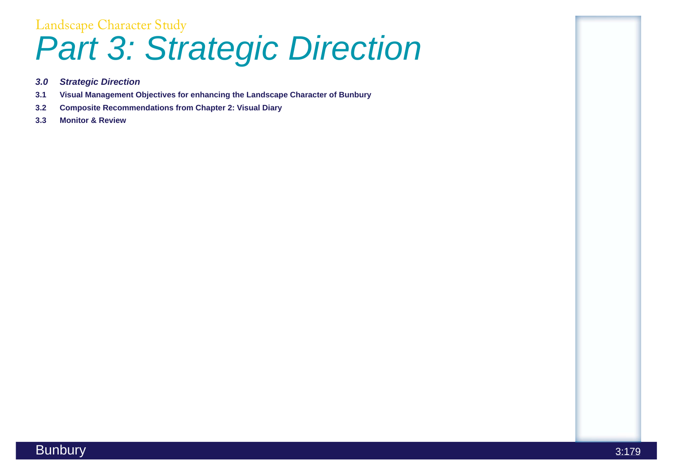# Landscape Character Study *Part 3: Strategic Direction*

- *3.0 Strategic Direction*
- **3.1 Visual Management Objectives for enhancing the Landscape Character of Bunbury**
- **3.2 Composite Recommendations from Chapter 2: Visual Diary**
- **3.3 Monitor & Review**





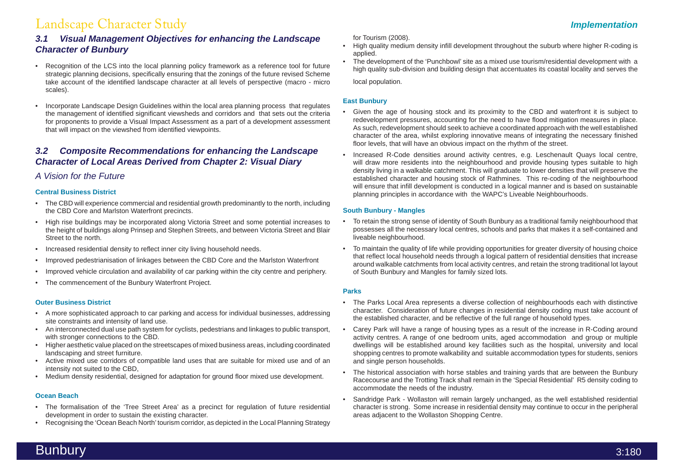## Landscape Character Study *Implementation*

### *3.1 Visual Management Objectives for enhancing the Landscape Character of Bunbury*

- Recognition of the LCS into the local planning policy framework as a reference tool for future strategic planning decisions, specifically ensuring that the zonings of the future revised Scheme take account of the identified landscape character at all levels of perspective (macro - micro scales).
- Incorporate Landscape Design Guidelines within the local area planning process that regulates the management of identified significant viewsheds and corridors and that sets out the criteria for proponents to provide a Visual Impact Assessment as a part of a development assessment that will impact on the viewshed from identified viewpoints.

#### *3.2 Composite Recommendations for enhancing the Landscape Character of Local Areas Derived from Chapter 2: Visual Diary*

### *A Vision for the Future*

#### **Central Business District**

- The CBD will experience commercial and residential growth predominantly to the north, including the CBD Core and Marlston Waterfront precincts.
- High rise buildings may be incorporated along Victoria Street and some potential increases to the height of buildings along Prinsep and Stephen Streets, and between Victoria Street and Blair Street to the north.
- Increased residential density to reflect inner city living household needs.
- Improved pedestrianisation of linkages between the CBD Core and the Marlston Waterfront
- Improved vehicle circulation and availability of car parking within the city centre and periphery.
- The commencement of the Bunbury Waterfront Project.

#### **Outer Business District**

- A more sophisticated approach to car parking and access for individual businesses, addressing site constraints and intensity of land use.
- An interconnected dual use path system for cyclists, pedestrians and linkages to public transport, with stronger connections to the CBD.
- Higher aesthetic value placed on the streetscapes of mixed business areas, including coordinated landscaping and street furniture.
- Active mixed use corridors of compatible land uses that are suitable for mixed use and of an intensity not suited to the CBD,
- Medium density residential, designed for adaptation for ground floor mixed use development.

#### **Ocean Beach**

- The formalisation of the 'Tree Street Area' as a precinct for regulation of future residential development in order to sustain the existing character.
- Recognising the 'Ocean Beach North' tourism corridor, as depicted in the Local Planning Strategy

for Tourism (2008).

- High quality medium density infill development throughout the suburb where higher R-coding is applied.
- The development of the 'Punchbowl' site as a mixed use tourism/residential development with a high quality sub-division and building design that accentuates its coastal locality and serves the

local population.

#### **East Bunbury**

- Given the age of housing stock and its proximity to the CBD and waterfront it is subject to redevelopment pressures, accounting for the need to have flood mitigation measures in place. As such, redevelopment should seek to achieve a coordinated approach with the well established character of the area, whilst exploring innovative means of integrating the necessary finished floor levels, that will have an obvious impact on the rhythm of the street.
- Increased R-Code densities around activity centres, e.g. Leschenault Quays local centre, will draw more residents into the neighbourhood and provide housing types suitable to high density living in a walkable catchment. This will graduate to lower densities that will preserve the established character and housing stock of Rathmines. This re-coding of the neighbourhood will ensure that infill development is conducted in a logical manner and is based on sustainable planning principles in accordance with the WAPC's Liveable Neighbourhoods.

#### **South Bunbury - Mangles**

- To retain the strong sense of identity of South Bunbury as a traditional family neighbourhood that possesses all the necessary local centres, schools and parks that makes it a self-contained and liveable neighbourhood.
- To maintain the quality of life while providing opportunities for greater diversity of housing choice that reflect local household needs through a logical pattern of residential densities that increase around walkable catchments from local activity centres, and retain the strong traditional lot layout of South Bunbury and Mangles for family sized lots.

#### **Parks**

- The Parks Local Area represents a diverse collection of neighbourhoods each with distinctive character. Consideration of future changes in residential density coding must take account of the established character, and be reflective of the full range of household types.
- Carey Park will have a range of housing types as a result of the increase in R-Coding around activity centres. A range of one bedroom units, aged accommodation and group or multiple dwellings will be established around key facilities such as the hospital, university and local shopping centres to promote walkability and suitable accommodation types for students, seniors and single person households.
- The historical association with horse stables and training yards that are between the Bunbury Racecourse and the Trotting Track shall remain in the 'Special Residential' R5 density coding to accommodate the needs of the industry.
- Sandridge Park Wollaston will remain largely unchanged, as the well established residential character is strong. Some increase in residential density may continue to occur in the peripheral areas adjacent to the Wollaston Shopping Centre.

### and the set of the set of the set of the set of the set of the set of the set of the set of the set of the set o

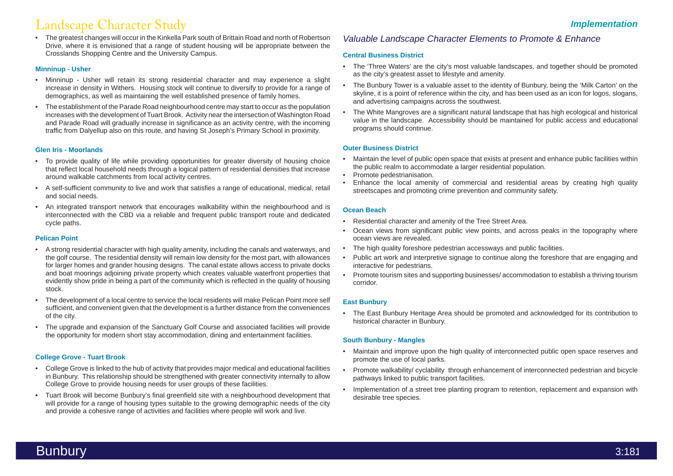## Landscape Character Study

• The greatest changes will occur in the Kinkella Park south of Brittain Road and north of Robertson Drive, where it is envisioned that a range of student housing will be appropriate between the Crosslands Shopping Centre and the University Campus.

#### **Minninup - Usher**

- Minninup Usher will retain its strong residential character and may experience a slight increase in density in Withers. Housing stock will continue to diversify to provide for a range of demographics, as well as maintaining the well established presence of family homes.
- The establishment of the Parade Road neighbourhood centre may start to occur as the population increases with the development of Tuart Brook. Activity near the intersection of Washington Road and Parade Road will gradually increase in significance as an activity centre, with the incoming traffic from Dalyellup also on this route, and having St Joseph's Primary School in proximity.

#### **Glen Iris - Moorlands**

- To provide quality of life while providing opportunities for greater diversity of housing choice that reflect local household needs through a logical pattern of residential densities that increase around walkable catchments from local activity centres.
- A self-sufficient community to live and work that satisfies a range of educational, medical, retail and social needs.
- An integrated transport network that encourages walkability within the neighbourhood and is interconnected with the CBD via a reliable and frequent public transport route and dedicated cycle paths.

#### **Pelican Point**

- The 'Three Waters' are the city's most valuable landscapes, and together should be promoted as the city's greatest asset to lifestyle and amenity.
- The Bunbury Tower is a valuable asset to the identity of Bunbury, being the 'Milk Carton' on the skyline, it is a point of reference within the city, and has been used as an icon for logos, slogans, and advertising campaigns across the southwest.
- The White Mangroves are a significant natural landscape that has high ecological and historical value in the landscape. Accessibility should be maintained for public access and educational programs should continue.

- A strong residential character with high quality amenity, including the canals and waterways, and the golf course. The residential density will remain low density for the most part, with allowances for larger homes and grander housing designs. The canal estate allows access to private docks and boat moorings adjoining private property which creates valuable waterfront properties that evidently show pride in being a part of the community which is reflected in the quality of housing stock.
- The development of a local centre to service the local residents will make Pelican Point more self sufficient, and convenient given that the development is a further distance from the conveniences of the city.
- The upgrade and expansion of the Sanctuary Golf Course and associated facilities will provide the opportunity for modern short stay accommodation, dining and entertainment facilities.

#### **College Grove - Tuart Brook**

- Maintain and improve upon the high quality of interconnected public open space reserves and promote the use of local parks.
- Promote walkability/ cyclability through enhancement of interconnected pedestrian and bicycle pathways linked to public transport facilities.
- Implementation of a street tree planting program to retention, replacement and expansion with desirable tree species.
- College Grove is linked to the hub of activity that provides major medical and educational facilities in Bunbury. This relationship should be strengthened with greater connectivity internally to allow College Grove to provide housing needs for user groups of these facilities.
- Tuart Brook will become Bunbury's final greenfield site with a neighbourhood development that will provide for a range of housing types suitable to the growing demographic needs of the city and provide a cohesive range of activities and facilities where people will work and live.

### *Valuable Landscape Character Elements to Promote & Enhance*

#### **Central Business District**

#### **Outer Business District**

- Maintain the level of public open space that exists at present and enhance public facilities within the public realm to accommodate a larger residential population.
- Promote pedestrianisation.
- Enhance the local amenity of commercial and residential areas by creating high quality streetscapes and promoting crime prevention and community safety.

#### **Ocean Beach**

- Residential character and amenity of the Tree Street Area.
- Ocean views from significant public view points, and across peaks in the topography where ocean views are revealed.
- The high quality foreshore pedestrian accessways and public facilities.
- Public art work and interpretive signage to continue along the foreshore that are engaging and interactive for pedestrians.
- Promote tourism sites and supporting businesses/ accommodation to establish a thriving tourism corridor.

#### **East Bunbury**

• The East Bunbury Heritage Area should be promoted and acknowledged for its contribution to historical character in Bunbury.

#### **South Bunbury - Mangles**

#### *Implementation*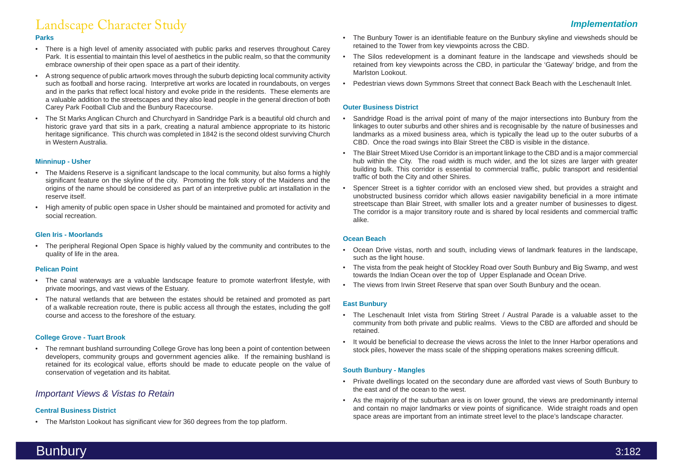#### **Parks**

- There is a high level of amenity associated with public parks and reserves throughout Carey Park. It is essential to maintain this level of aesthetics in the public realm, so that the community embrace ownership of their open space as a part of their identity.
- A strong sequence of public artwork moves through the suburb depicting local community activity such as football and horse racing. Interpretive art works are located in roundabouts, on verges and in the parks that reflect local history and evoke pride in the residents. These elements are a valuable addition to the streetscapes and they also lead people in the general direction of both Carey Park Football Club and the Bunbury Racecourse.
- The St Marks Anglican Church and Churchyard in Sandridge Park is a beautiful old church and historic grave yard that sits in a park, creating a natural ambience appropriate to its historic heritage significance. This church was completed in 1842 is the second oldest surviving Church in Western Australia.

#### **Minninup - Usher**

- The Maidens Reserve is a significant landscape to the local community, but also forms a highly significant feature on the skyline of the city. Promoting the folk story of the Maidens and the origins of the name should be considered as part of an interpretive public art installation in the reserve itself.
- High amenity of public open space in Usher should be maintained and promoted for activity and social recreation.

#### **Glen Iris - Moorlands**

• The peripheral Regional Open Space is highly valued by the community and contributes to the quality of life in the area.

#### **Pelican Point**

- The canal waterways are a valuable landscape feature to promote waterfront lifestyle, with private moorings, and vast views of the Estuary.
- The natural wetlands that are between the estates should be retained and promoted as part of a walkable recreation route, there is public access all through the estates, including the golf course and access to the foreshore of the estuary.

#### **College Grove - Tuart Brook**

• The remnant bushland surrounding College Grove has long been a point of contention between developers, community groups and government agencies alike. If the remaining bushland is retained for its ecological value, efforts should be made to educate people on the value of conservation of vegetation and its habitat.

### *Important Views & Vistas to Retain*

#### **Central Business District**

• The Marlston Lookout has significant view for 360 degrees from the top platform.

- The Bunbury Tower is an identifiable feature on the Bunbury skyline and viewsheds should be retained to the Tower from key viewpoints across the CBD.
- The Silos redevelopment is a dominant feature in the landscape and viewsheds should be retained from key viewpoints across the CBD, in particular the 'Gateway' bridge, and from the Marlston Lookout.
- Pedestrian views down Symmons Street that connect Back Beach with the Leschenault Inlet.

#### **Outer Business District**

- Sandridge Road is the arrival point of many of the major intersections into Bunbury from the linkages to outer suburbs and other shires and is recognisable by the nature of businesses and landmarks as a mixed business area, which is typically the lead up to the outer suburbs of a CBD. Once the road swings into Blair Street the CBD is visible in the distance.
- The Blair Street Mixed Use Corridor is an important linkage to the CBD and is a major commercial hub within the City. The road width is much wider, and the lot sizes are larger with greater building bulk. This corridor is essential to commercial traffic, public transport and residential traffic of both the City and other Shires.
- Spencer Street is a tighter corridor with an enclosed view shed, but provides a straight and unobstructed business corridor which allows easier navigability beneficial in a more intimate streetscape than Blair Street, with smaller lots and a greater number of businesses to digest. The corridor is a major transitory route and is shared by local residents and commercial traffic alike.

#### **Ocean Beach**

- Ocean Drive vistas, north and south, including views of landmark features in the landscape, such as the light house.
- The vista from the peak height of Stockley Road over South Bunbury and Big Swamp, and west towards the Indian Ocean over the top of Upper Esplanade and Ocean Drive.
- The views from Irwin Street Reserve that span over South Bunbury and the ocean.

#### **East Bunbury**

- The Leschenault Inlet vista from Stirling Street / Austral Parade is a valuable asset to the community from both private and public realms. Views to the CBD are afforded and should be retained.
- It would be beneficial to decrease the views across the Inlet to the Inner Harbor operations and stock piles, however the mass scale of the shipping operations makes screening difficult.

#### **South Bunbury - Mangles**

- Private dwellings located on the secondary dune are afforded vast views of South Bunbury to the east and of the ocean to the west.
- As the majority of the suburban area is on lower ground, the views are predominantly internal and contain no major landmarks or view points of significance. Wide straight roads and open space areas are important from an intimate street level to the place's landscape character.

## Landscape Character Study *Implementation*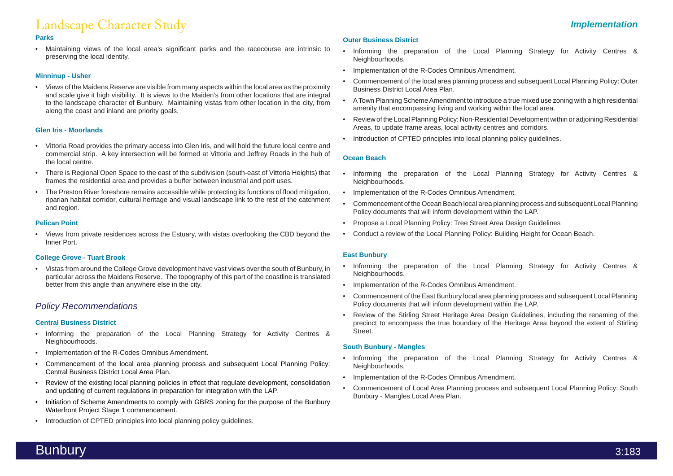## Landscape Character Study

#### **Parks**

• Maintaining views of the local area's significant parks and the racecourse are intrinsic to preserving the local identity.

#### **Minninup - Usher**

• Views of the Maidens Reserve are visible from many aspects within the local area as the proximity and scale give it high visibility. It is views to the Maiden's from other locations that are integral to the landscape character of Bunbury. Maintaining vistas from other location in the city, from along the coast and inland are priority goals.

#### **Glen Iris - Moorlands**

- Vittoria Road provides the primary access into Glen Iris, and will hold the future local centre and commercial strip. A key intersection will be formed at Vittoria and Jeffrey Roads in the hub of the local centre.
- There is Regional Open Space to the east of the subdivision (south-east of Vittoria Heights) that frames the residential area and provides a buffer between industrial and port uses.
- The Preston River foreshore remains accessible while protecting its functions of flood mitigation, riparian habitat corridor, cultural heritage and visual landscape link to the rest of the catchment and region.

#### **Pelican Point**

• Views from private residences across the Estuary, with vistas overlooking the CBD beyond the Inner Port.

#### **College Grove - Tuart Brook**

• Vistas from around the College Grove development have vast views over the south of Bunbury, in particular across the Maidens Reserve. The topography of this part of the coastline is translated better from this angle than anywhere else in the city.

#### *Policy Recommendations*

#### **Central Business District**

- Informing the preparation of the Local Planning Strategy for Activity Centres & Neighbourhoods.
- Implementation of the R-Codes Omnibus Amendment.
- Commencement of the local area planning process and subsequent Local Planning Policy: Central Business District Local Area Plan.
- Review of the existing local planning policies in effect that regulate development, consolidation and updating of current regulations in preparation for integration with the LAP.
- Initiation of Scheme Amendments to comply with GBRS zoning for the purpose of the Bunbury Waterfront Project Stage 1 commencement.
- Introduction of CPTED principles into local planning policy guidelines.

#### **Outer Business District**

- Informing the preparation of the Local Planning Strategy for Activity Centres & Neighbourhoods.
- Implementation of the R-Codes Omnibus Amendment.
- Commencement of the local area planning process and subsequent Local Planning Policy: Outer Business District Local Area Plan.
- A Town Planning Scheme Amendment to introduce a true mixed use zoning with a high residential amenity that encompassing living and working within the local area.
- Review of the Local Planning Policy: Non-Residential Development within or adjoining Residential Areas, to update frame areas, local activity centres and corridors.
- Introduction of CPTED principles into local planning policy guidelines.

#### **Ocean Beach**

- Informing the preparation of the Local Planning Strategy for Activity Centres & Neighbourhoods.
- Implementation of the R-Codes Omnibus Amendment.
- Commencement of the Ocean Beach local area planning process and subsequent Local Planning Policy documents that will inform development within the LAP.
- Propose a Local Planning Policy: Tree Street Area Design Guidelines
- Conduct a review of the Local Planning Policy: Building Height for Ocean Beach.

#### **East Bunbury**

- Informing the preparation of the Local Planning Strategy for Activity Centres & Neighbourhoods.
- Implementation of the R-Codes Omnibus Amendment.
- Commencement of the East Bunbury local area planning process and subsequent Local Planning Policy documents that will inform development within the LAP.
- Review of the Stirling Street Heritage Area Design Guidelines, including the renaming of the precinct to encompass the true boundary of the Heritage Area beyond the extent of Stirling Street.

#### **South Bunbury - Mangles**

- Informing the preparation of the Local Planning Strategy for Activity Centres & Neighbourhoods.
- Implementation of the R-Codes Omnibus Amendment.
- Commencement of Local Area Planning process and subsequent Local Planning Policy: South Bunbury - Mangles Local Area Plan.

### *Implementation*